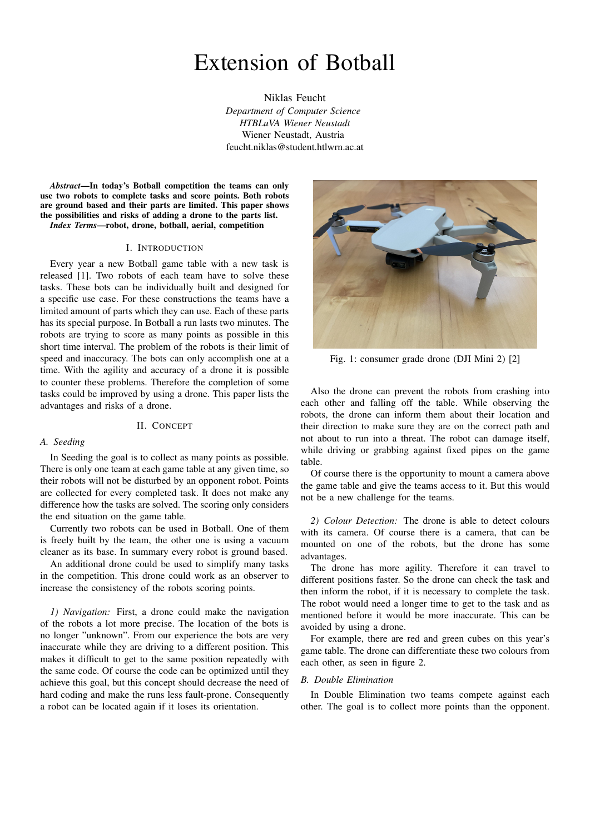# Extension of Botball

Niklas Feucht *Department of Computer Science HTBLuVA Wiener Neustadt* Wiener Neustadt, Austria feucht.niklas@student.htlwrn.ac.at

*Abstract*—In today's Botball competition the teams can only use two robots to complete tasks and score points. Both robots are ground based and their parts are limited. This paper shows the possibilities and risks of adding a drone to the parts list. *Index Terms*—robot, drone, botball, aerial, competition

#### I. INTRODUCTION

Every year a new Botball game table with a new task is released [1]. Two robots of each team have to solve these tasks. These bots can be individually built and designed for a specific use case. For these constructions the teams have a limited amount of parts which they can use. Each of these parts has its special purpose. In Botball a run lasts two minutes. The robots are trying to score as many points as possible in this short time interval. The problem of the robots is their limit of speed and inaccuracy. The bots can only accomplish one at a time. With the agility and accuracy of a drone it is possible to counter these problems. Therefore the completion of some tasks could be improved by using a drone. This paper lists the advantages and risks of a drone.

#### II. CONCEPT

# *A. Seeding*

In Seeding the goal is to collect as many points as possible. There is only one team at each game table at any given time, so their robots will not be disturbed by an opponent robot. Points are collected for every completed task. It does not make any difference how the tasks are solved. The scoring only considers the end situation on the game table.

Currently two robots can be used in Botball. One of them is freely built by the team, the other one is using a vacuum cleaner as its base. In summary every robot is ground based.

An additional drone could be used to simplify many tasks in the competition. This drone could work as an observer to increase the consistency of the robots scoring points.

*1) Navigation:* First, a drone could make the navigation of the robots a lot more precise. The location of the bots is no longer "unknown". From our experience the bots are very inaccurate while they are driving to a different position. This makes it difficult to get to the same position repeatedly with the same code. Of course the code can be optimized until they achieve this goal, but this concept should decrease the need of hard coding and make the runs less fault-prone. Consequently a robot can be located again if it loses its orientation.



Fig. 1: consumer grade drone (DJI Mini 2) [2]

Also the drone can prevent the robots from crashing into each other and falling off the table. While observing the robots, the drone can inform them about their location and their direction to make sure they are on the correct path and not about to run into a threat. The robot can damage itself, while driving or grabbing against fixed pipes on the game table.

Of course there is the opportunity to mount a camera above the game table and give the teams access to it. But this would not be a new challenge for the teams.

*2) Colour Detection:* The drone is able to detect colours with its camera. Of course there is a camera, that can be mounted on one of the robots, but the drone has some advantages.

The drone has more agility. Therefore it can travel to different positions faster. So the drone can check the task and then inform the robot, if it is necessary to complete the task. The robot would need a longer time to get to the task and as mentioned before it would be more inaccurate. This can be avoided by using a drone.

For example, there are red and green cubes on this year's game table. The drone can differentiate these two colours from each other, as seen in figure 2.

# *B. Double Elimination*

In Double Elimination two teams compete against each other. The goal is to collect more points than the opponent.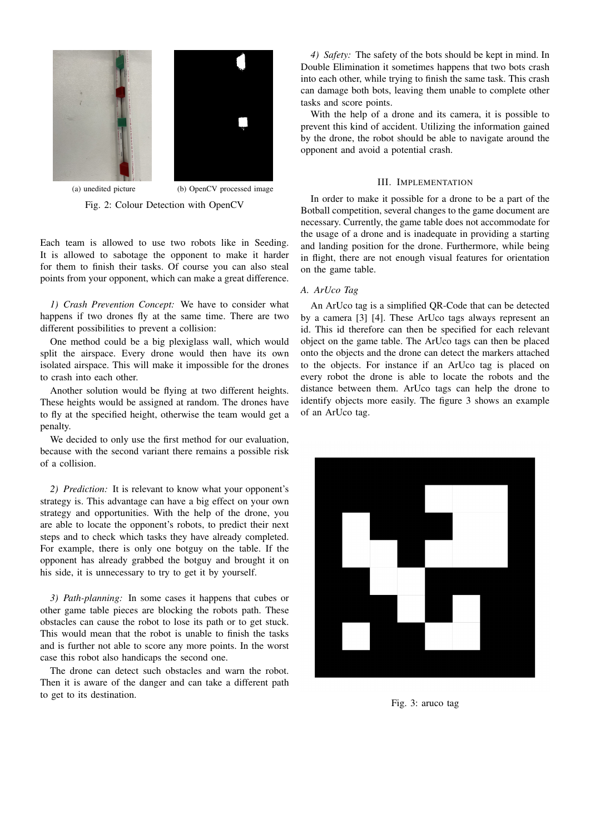

(a) unedited picture (b) OpenCV processed image Fig. 2: Colour Detection with OpenCV

Each team is allowed to use two robots like in Seeding. It is allowed to sabotage the opponent to make it harder for them to finish their tasks. Of course you can also steal points from your opponent, which can make a great difference.

*1) Crash Prevention Concept:* We have to consider what happens if two drones fly at the same time. There are two different possibilities to prevent a collision:

One method could be a big plexiglass wall, which would split the airspace. Every drone would then have its own isolated airspace. This will make it impossible for the drones to crash into each other.

Another solution would be flying at two different heights. These heights would be assigned at random. The drones have to fly at the specified height, otherwise the team would get a penalty.

We decided to only use the first method for our evaluation, because with the second variant there remains a possible risk of a collision.

*2) Prediction:* It is relevant to know what your opponent's strategy is. This advantage can have a big effect on your own strategy and opportunities. With the help of the drone, you are able to locate the opponent's robots, to predict their next steps and to check which tasks they have already completed. For example, there is only one botguy on the table. If the opponent has already grabbed the botguy and brought it on his side, it is unnecessary to try to get it by yourself.

*3) Path-planning:* In some cases it happens that cubes or other game table pieces are blocking the robots path. These obstacles can cause the robot to lose its path or to get stuck. This would mean that the robot is unable to finish the tasks and is further not able to score any more points. In the worst case this robot also handicaps the second one.

The drone can detect such obstacles and warn the robot. Then it is aware of the danger and can take a different path to get to its destination.

*4) Safety:* The safety of the bots should be kept in mind. In Double Elimination it sometimes happens that two bots crash into each other, while trying to finish the same task. This crash can damage both bots, leaving them unable to complete other tasks and score points.

With the help of a drone and its camera, it is possible to prevent this kind of accident. Utilizing the information gained by the drone, the robot should be able to navigate around the opponent and avoid a potential crash.

# III. IMPLEMENTATION

In order to make it possible for a drone to be a part of the Botball competition, several changes to the game document are necessary. Currently, the game table does not accommodate for the usage of a drone and is inadequate in providing a starting and landing position for the drone. Furthermore, while being in flight, there are not enough visual features for orientation on the game table.

# *A. ArUco Tag*

An ArUco tag is a simplified QR-Code that can be detected by a camera [3] [4]. These ArUco tags always represent an id. This id therefore can then be specified for each relevant object on the game table. The ArUco tags can then be placed onto the objects and the drone can detect the markers attached to the objects. For instance if an ArUco tag is placed on every robot the drone is able to locate the robots and the distance between them. ArUco tags can help the drone to identify objects more easily. The figure 3 shows an example of an ArUco tag.



Fig. 3: aruco tag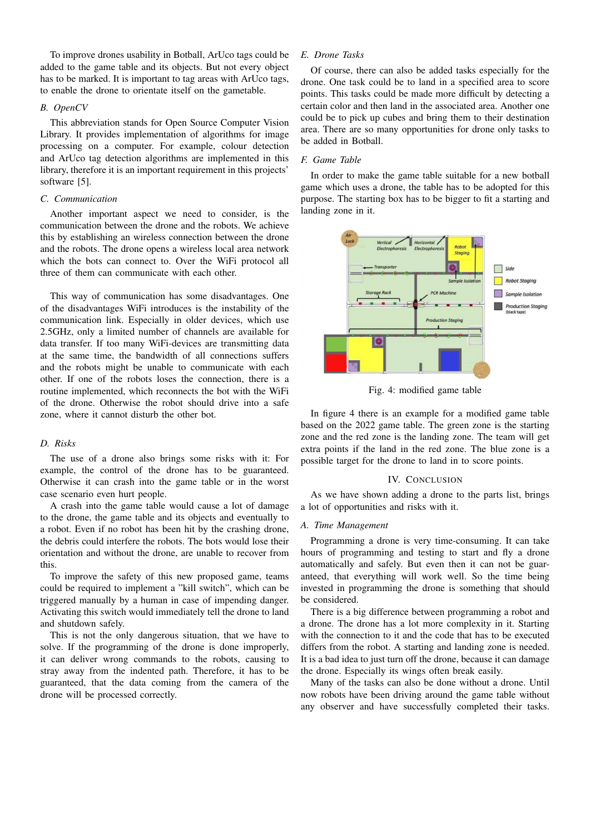To improve drones usability in Botball, ArUco tags could be added to the game table and its objects. But not every object has to be marked. It is important to tag areas with ArUco tags, to enable the drone to orientate itself on the gametable.

# *B. OpenCV*

This abbreviation stands for Open Source Computer Vision Library. It provides implementation of algorithms for image processing on a computer. For example, colour detection and ArUco tag detection algorithms are implemented in this library, therefore it is an important requirement in this projects' software [5].

# *C. Communication*

Another important aspect we need to consider, is the communication between the drone and the robots. We achieve this by establishing an wireless connection between the drone and the robots. The drone opens a wireless local area network which the bots can connect to. Over the WiFi protocol all three of them can communicate with each other.

This way of communication has some disadvantages. One of the disadvantages WiFi introduces is the instability of the communication link. Especially in older devices, which use 2.5GHz, only a limited number of channels are available for data transfer. If too many WiFi-devices are transmitting data at the same time, the bandwidth of all connections suffers and the robots might be unable to communicate with each other. If one of the robots loses the connection, there is a routine implemented, which reconnects the bot with the WiFi of the drone. Otherwise the robot should drive into a safe zone, where it cannot disturb the other bot.

## *D. Risks*

The use of a drone also brings some risks with it: For example, the control of the drone has to be guaranteed. Otherwise it can crash into the game table or in the worst case scenario even hurt people.

A crash into the game table would cause a lot of damage to the drone, the game table and its objects and eventually to a robot. Even if no robot has been hit by the crashing drone, the debris could interfere the robots. The bots would lose their orientation and without the drone, are unable to recover from this.

To improve the safety of this new proposed game, teams could be required to implement a "kill switch", which can be triggered manually by a human in case of impending danger. Activating this switch would immediately tell the drone to land and shutdown safely.

This is not the only dangerous situation, that we have to solve. If the programming of the drone is done improperly, it can deliver wrong commands to the robots, causing to stray away from the indented path. Therefore, it has to be guaranteed, that the data coming from the camera of the drone will be processed correctly.

# *E. Drone Tasks*

Of course, there can also be added tasks especially for the drone. One task could be to land in a specified area to score points. This tasks could be made more difficult by detecting a certain color and then land in the associated area. Another one could be to pick up cubes and bring them to their destination area. There are so many opportunities for drone only tasks to be added in Botball.

#### *F. Game Table*

In order to make the game table suitable for a new botball game which uses a drone, the table has to be adopted for this purpose. The starting box has to be bigger to fit a starting and landing zone in it.



Fig. 4: modified game table

In figure 4 there is an example for a modified game table based on the 2022 game table. The green zone is the starting zone and the red zone is the landing zone. The team will get extra points if the land in the red zone. The blue zone is a possible target for the drone to land in to score points.

#### IV. CONCLUSION

As we have shown adding a drone to the parts list, brings a lot of opportunities and risks with it.

# *A. Time Management*

Programming a drone is very time-consuming. It can take hours of programming and testing to start and fly a drone automatically and safely. But even then it can not be guaranteed, that everything will work well. So the time being invested in programming the drone is something that should be considered.

There is a big difference between programming a robot and a drone. The drone has a lot more complexity in it. Starting with the connection to it and the code that has to be executed differs from the robot. A starting and landing zone is needed. It is a bad idea to just turn off the drone, because it can damage the drone. Especially its wings often break easily.

Many of the tasks can also be done without a drone. Until now robots have been driving around the game table without any observer and have successfully completed their tasks.